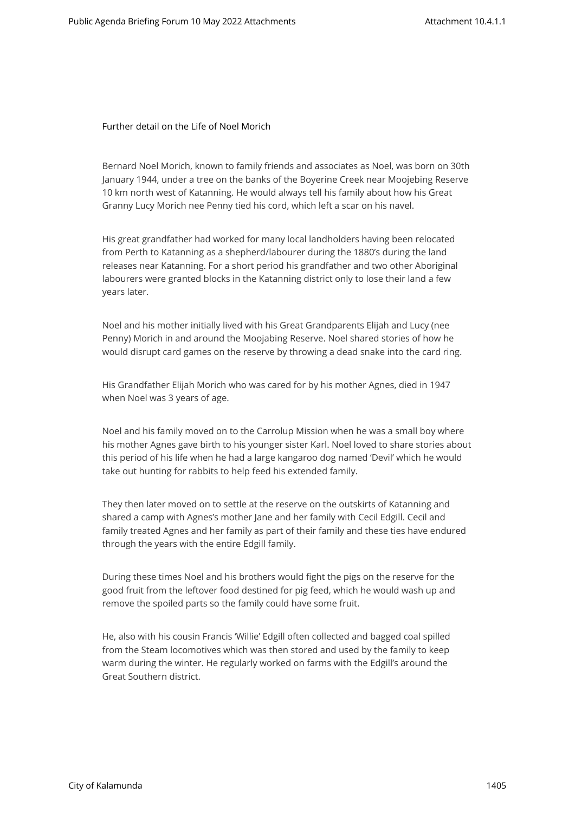Further detail on the Life of Noel Morich

Bernard Noel Morich, known to family friends and associates as Noel, was born on 30th January 1944, under a tree on the banks of the Boyerine Creek near Moojebing Reserve 10 km north west of Katanning. He would always tell his family about how his Great Granny Lucy Morich nee Penny tied his cord, which left a scar on his navel.

His great grandfather had worked for many local landholders having been relocated from Perth to Katanning as a shepherd/labourer during the 1880's during the land releases near Katanning. For a short period his grandfather and two other Aboriginal labourers were granted blocks in the Katanning district only to lose their land a few years later.

Noel and his mother initially lived with his Great Grandparents Elijah and Lucy (nee Penny) Morich in and around the Moojabing Reserve. Noel shared stories of how he would disrupt card games on the reserve by throwing a dead snake into the card ring.

His Grandfather Elijah Morich who was cared for by his mother Agnes, died in 1947 when Noel was 3 years of age.

Noel and his family moved on to the Carrolup Mission when he was a small boy where his mother Agnes gave birth to his younger sister Karl. Noel loved to share stories about this period of his life when he had a large kangaroo dog named 'Devil' which he would take out hunting for rabbits to help feed his extended family.

They then later moved on to settle at the reserve on the outskirts of Katanning and shared a camp with Agnes's mother Jane and her family with Cecil Edgill. Cecil and family treated Agnes and her family as part of their family and these ties have endured through the years with the entire Edgill family.

During these times Noel and his brothers would fight the pigs on the reserve for the good fruit from the leftover food destined for pig feed, which he would wash up and remove the spoiled parts so the family could have some fruit.

He, also with his cousin Francis 'Willie' Edgill often collected and bagged coal spilled from the Steam locomotives which was then stored and used by the family to keep warm during the winter. He regularly worked on farms with the Edgill's around the Great Southern district.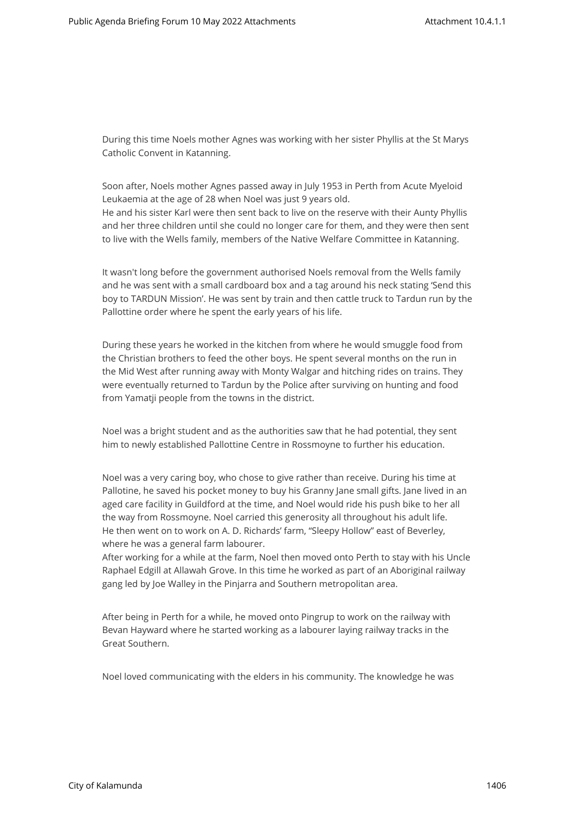During this time Noels mother Agnes was working with her sister Phyllis at the St Marys Catholic Convent in Katanning.

Soon after, Noels mother Agnes passed away in July 1953 in Perth from Acute Myeloid Leukaemia at the age of 28 when Noel was just 9 years old. He and his sister Karl were then sent back to live on the reserve with their Aunty Phyllis and her three children until she could no longer care for them, and they were then sent to live with the Wells family, members of the Native Welfare Committee in Katanning.

It wasn't long before the government authorised Noels removal from the Wells family and he was sent with a small cardboard box and a tag around his neck stating 'Send this boy to TARDUN Mission'. He was sent by train and then cattle truck to Tardun run by the Pallottine order where he spent the early years of his life.

During these years he worked in the kitchen from where he would smuggle food from the Christian brothers to feed the other boys. He spent several months on the run in the Mid West after running away with Monty Walgar and hitching rides on trains. They were eventually returned to Tardun by the Police after surviving on hunting and food from Yamatji people from the towns in the district.

Noel was a bright student and as the authorities saw that he had potential, they sent him to newly established Pallottine Centre in Rossmoyne to further his education.

Noel was a very caring boy, who chose to give rather than receive. During his time at Pallotine, he saved his pocket money to buy his Granny Jane small gifts. Jane lived in an aged care facility in Guildford at the time, and Noel would ride his push bike to her all the way from Rossmoyne. Noel carried this generosity all throughout his adult life. He then went on to work on A. D. Richards' farm, "Sleepy Hollow" east of Beverley, where he was a general farm labourer.

After working for a while at the farm, Noel then moved onto Perth to stay with his Uncle Raphael Edgill at Allawah Grove. In this time he worked as part of an Aboriginal railway gang led by Joe Walley in the Pinjarra and Southern metropolitan area.

After being in Perth for a while, he moved onto Pingrup to work on the railway with Bevan Hayward where he started working as a labourer laying railway tracks in the Great Southern.

Noel loved communicating with the elders in his community. The knowledge he was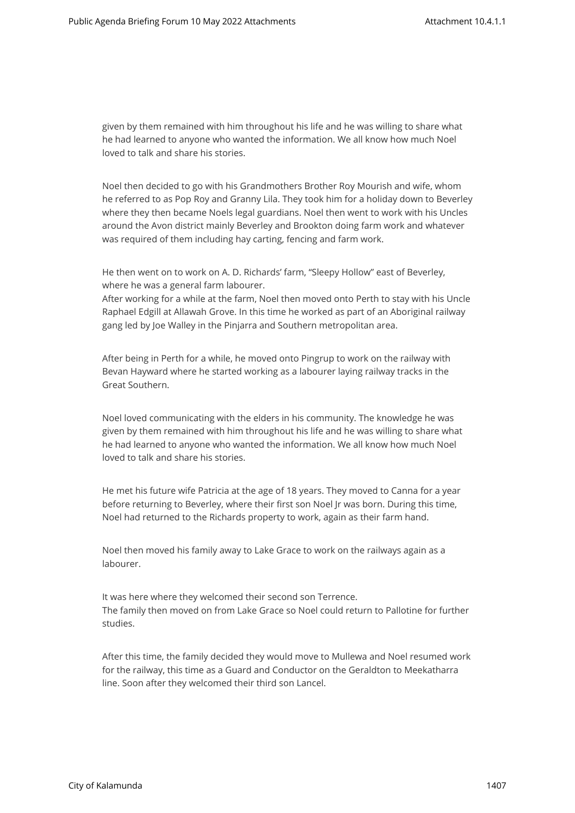given by them remained with him throughout his life and he was willing to share what he had learned to anyone who wanted the information. We all know how much Noel loved to talk and share his stories.

Noel then decided to go with his Grandmothers Brother Roy Mourish and wife, whom he referred to as Pop Roy and Granny Lila. They took him for a holiday down to Beverley where they then became Noels legal guardians. Noel then went to work with his Uncles around the Avon district mainly Beverley and Brookton doing farm work and whatever was required of them including hay carting, fencing and farm work.

He then went on to work on A. D. Richards' farm, "Sleepy Hollow" east of Beverley, where he was a general farm labourer.

After working for a while at the farm, Noel then moved onto Perth to stay with his Uncle Raphael Edgill at Allawah Grove. In this time he worked as part of an Aboriginal railway gang led by Joe Walley in the Pinjarra and Southern metropolitan area.

After being in Perth for a while, he moved onto Pingrup to work on the railway with Bevan Hayward where he started working as a labourer laying railway tracks in the Great Southern.

Noel loved communicating with the elders in his community. The knowledge he was given by them remained with him throughout his life and he was willing to share what he had learned to anyone who wanted the information. We all know how much Noel loved to talk and share his stories.

He met his future wife Patricia at the age of 18 years. They moved to Canna for a year before returning to Beverley, where their first son Noel Jr was born. During this time, Noel had returned to the Richards property to work, again as their farm hand.

Noel then moved his family away to Lake Grace to work on the railways again as a labourer.

It was here where they welcomed their second son Terrence. The family then moved on from Lake Grace so Noel could return to Pallotine for further studies.

After this time, the family decided they would move to Mullewa and Noel resumed work for the railway, this time as a Guard and Conductor on the Geraldton to Meekatharra line. Soon after they welcomed their third son Lancel.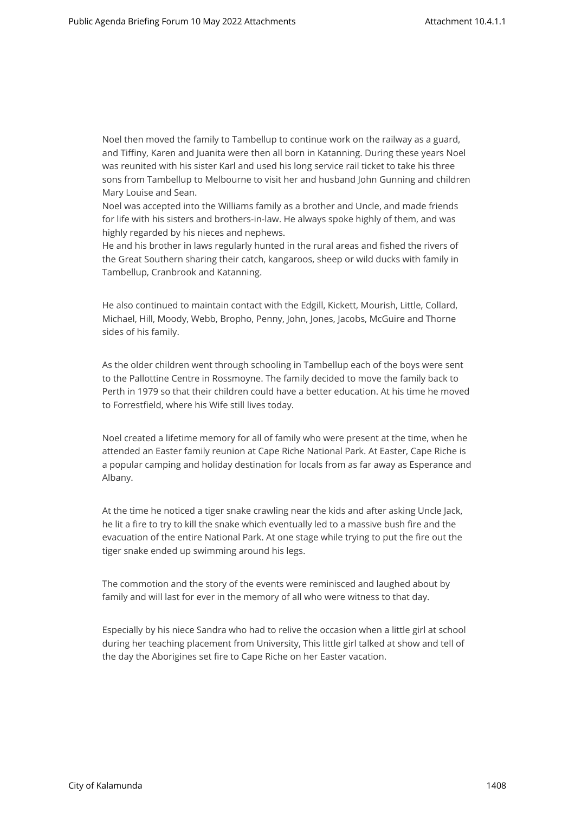Noel then moved the family to Tambellup to continue work on the railway as a guard, and Tiffiny, Karen and Juanita were then all born in Katanning. During these years Noel was reunited with his sister Karl and used his long service rail ticket to take his three sons from Tambellup to Melbourne to visit her and husband John Gunning and children Mary Louise and Sean.

Noel was accepted into the Williams family as a brother and Uncle, and made friends for life with his sisters and brothers-in-law. He always spoke highly of them, and was highly regarded by his nieces and nephews.

He and his brother in laws regularly hunted in the rural areas and fished the rivers of the Great Southern sharing their catch, kangaroos, sheep or wild ducks with family in Tambellup, Cranbrook and Katanning.

He also continued to maintain contact with the Edgill, Kickett, Mourish, Little, Collard, Michael, Hill, Moody, Webb, Bropho, Penny, John, Jones, Jacobs, McGuire and Thorne sides of his family.

As the older children went through schooling in Tambellup each of the boys were sent to the Pallottine Centre in Rossmoyne. The family decided to move the family back to Perth in 1979 so that their children could have a better education. At his time he moved to Forrestfield, where his Wife still lives today.

Noel created a lifetime memory for all of family who were present at the time, when he attended an Easter family reunion at Cape Riche National Park. At Easter, Cape Riche is a popular camping and holiday destination for locals from as far away as Esperance and Albany.

At the time he noticed a tiger snake crawling near the kids and after asking Uncle Jack, he lit a fire to try to kill the snake which eventually led to a massive bush fire and the evacuation of the entire National Park. At one stage while trying to put the fire out the tiger snake ended up swimming around his legs.

The commotion and the story of the events were reminisced and laughed about by family and will last for ever in the memory of all who were witness to that day.

Especially by his niece Sandra who had to relive the occasion when a little girl at school during her teaching placement from University, This little girl talked at show and tell of the day the Aborigines set fire to Cape Riche on her Easter vacation.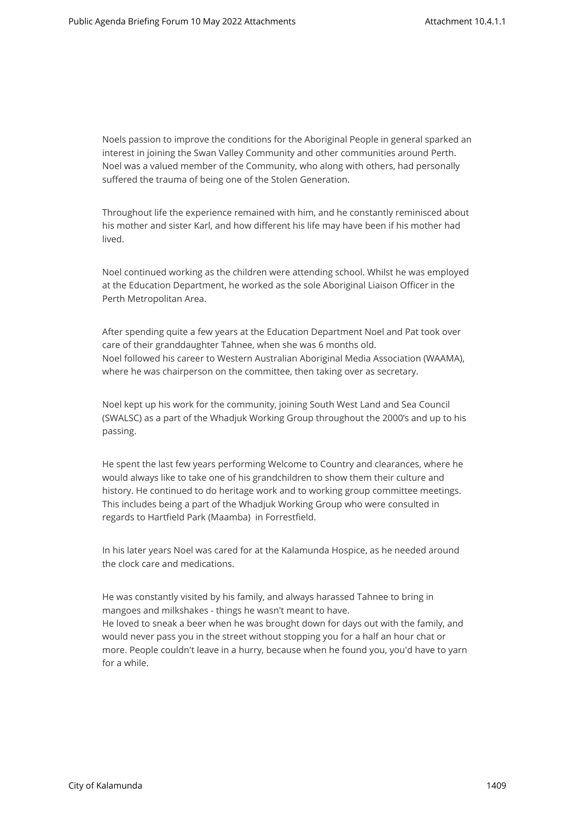Noels passion to improve the conditions for the Aboriginal People in general sparked an interest in joining the Swan Valley Community and other communities around Perth. Noel was a valued member of the Community, who along with others, had personally suffered the trauma of being one of the Stolen Generation.

Throughout life the experience remained with him, and he constantly reminisced about his mother and sister Karl, and how different his life may have been if his mother had lived.

Noel continued working as the children were attending school. Whilst he was employed at the Education Department, he worked as the sole Aboriginal Liaison Officer in the Perth Metropolitan Area.

After spending quite a few years at the Education Department Noel and Pat took over care of their granddaughter Tahnee, when she was 6 months old. Noel followed his career to Western Australian Aboriginal Media Association (WAAMA), where he was chairperson on the committee, then taking over as secretary.

Noel kept up his work for the community, joining South West Land and Sea Council (SWALSC) as a part of the Whadjuk Working Group throughout the 2000's and up to his passing.

He spent the last few years performing Welcome to Country and clearances, where he would always like to take one of his grandchildren to show them their culture and history. He continued to do heritage work and to working group committee meetings. This includes being a part of the Whadjuk Working Group who were consulted in regards to Hartfield Park (Maamba) in Forrestfield.

In his later years Noel was cared for at the Kalamunda Hospice, as he needed around the clock care and medications.

He was constantly visited by his family, and always harassed Tahnee to bring in mangoes and milkshakes - things he wasn't meant to have. He loved to sneak a beer when he was brought down for days out with the family, and would never pass you in the street without stopping you for a half an hour chat or more. People couldn't leave in a hurry, because when he found you, you'd have to yarn for a while.